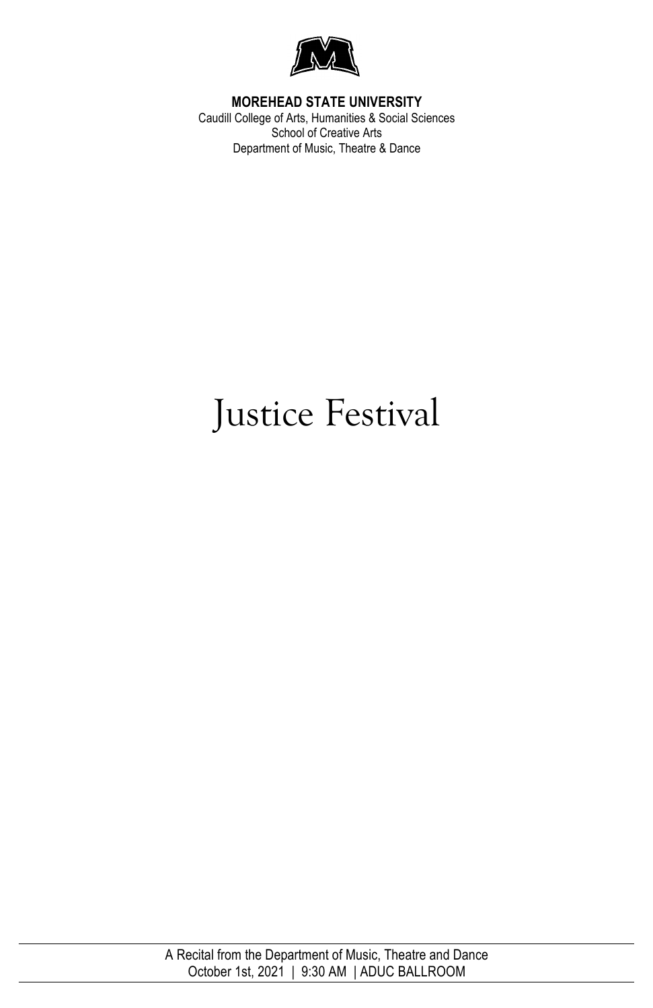

#### **MOREHEAD STATE UNIVERSITY**

Caudill College of Arts, Humanities & Social Sciences School of Creative Arts Department of Music, Theatre & Dance

# Justice Festival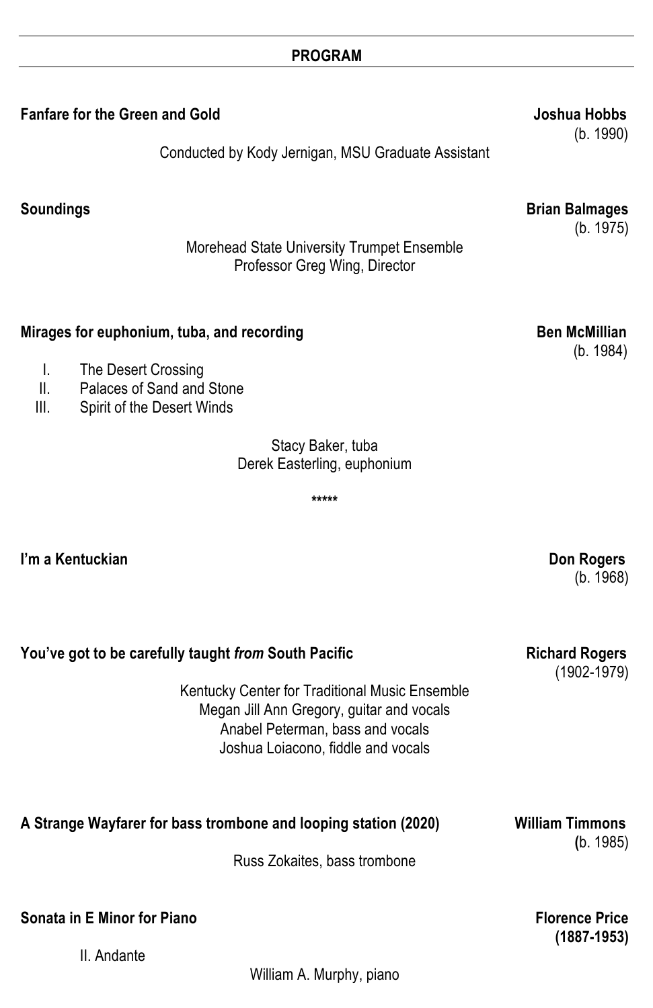#### **PROGRAM**

**Fanfare for the Green and Gold Server Server Server Server Server Server Server Server Server Server Server Server Server Server Server Server Server Server Server Server Server Server Server Server Server Server Server S** 

Conducted by Kody Jernigan, MSU Graduate Assistant

(b. 1990)

| <b>Soundings</b>                                                                                                                                                      | <b>Brian Balmages</b><br>(b. 1975)       |
|-----------------------------------------------------------------------------------------------------------------------------------------------------------------------|------------------------------------------|
| Morehead State University Trumpet Ensemble<br>Professor Greg Wing, Director                                                                                           |                                          |
| Mirages for euphonium, tuba, and recording<br>I.<br>The Desert Crossing<br>II.<br>Palaces of Sand and Stone<br>Ш.<br>Spirit of the Desert Winds                       | <b>Ben McMillian</b><br>(b. 1984)        |
| Stacy Baker, tuba<br>Derek Easterling, euphonium                                                                                                                      |                                          |
| *****                                                                                                                                                                 |                                          |
| I'm a Kentuckian                                                                                                                                                      | Don Rogers<br>(b. 1968)                  |
| You've got to be carefully taught from South Pacific                                                                                                                  | <b>Richard Rogers</b><br>$(1902 - 1979)$ |
| Kentucky Center for Traditional Music Ensemble<br>Megan Jill Ann Gregory, guitar and vocals<br>Anabel Peterman, bass and vocals<br>Joshua Loiacono, fiddle and vocals |                                          |
| A Strange Wayfarer for bass trombone and looping station (2020)<br>Russ Zokaites, bass trombone                                                                       | <b>William Timmons</b><br>(b. 1985)      |
| Sonata in E Minor for Piano                                                                                                                                           | <b>Florence Price</b>                    |
| II. Andante                                                                                                                                                           | $(1887 - 1953)$                          |

William A. Murphy, piano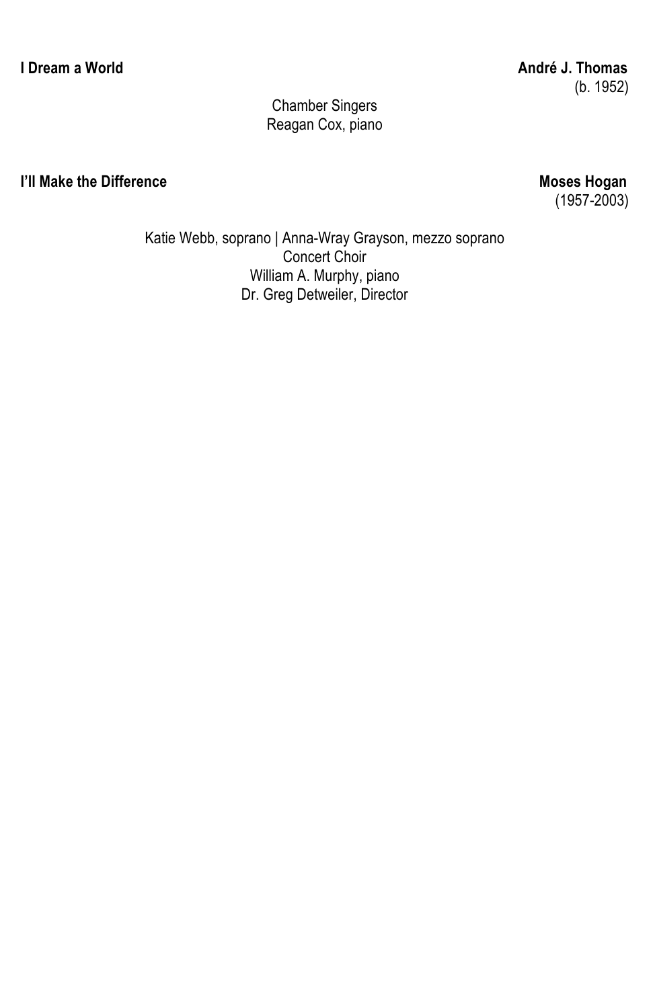### Chamber Singers Reagan Cox, piano

#### **I'll Make the Difference** Moses Hogan

 $(1957 - 2003)$ 

Katie Webb, soprano | Anna-Wray Grayson, mezzo soprano Concert Choir William A. Murphy, piano Dr. Greg Detweiler, Director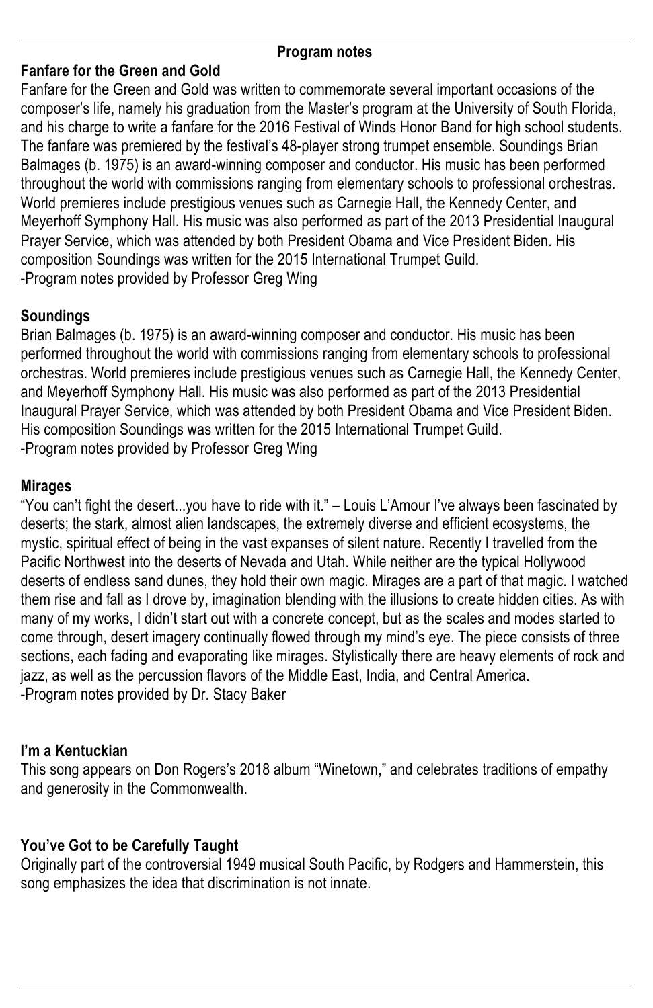#### **Program notes**

#### **Fanfare for the Green and Gold**

Fanfare for the Green and Gold was written to commemorate several important occasions of the composer's life, namely his graduation from the Master's program at the University of South Florida, and his charge to write a fanfare for the 2016 Festival of Winds Honor Band for high school students. The fanfare was premiered by the festival's 48-player strong trumpet ensemble. Soundings Brian Balmages (b. 1975) is an award-winning composer and conductor. His music has been performed throughout the world with commissions ranging from elementary schools to professional orchestras. World premieres include prestigious venues such as Carnegie Hall, the Kennedy Center, and Meyerhoff Symphony Hall. His music was also performed as part of the 2013 Presidential Inaugural Prayer Service, which was attended by both President Obama and Vice President Biden. His composition Soundings was written for the 2015 International Trumpet Guild. -Program notes provided by Professor Greg Wing

## **Soundings**

Brian Balmages (b. 1975) is an award-winning composer and conductor. His music has been performed throughout the world with commissions ranging from elementary schools to professional orchestras. World premieres include prestigious venues such as Carnegie Hall, the Kennedy Center, and Meyerhoff Symphony Hall. His music was also performed as part of the 2013 Presidential Inaugural Prayer Service, which was attended by both President Obama and Vice President Biden. His composition Soundings was written for the 2015 International Trumpet Guild. -Program notes provided by Professor Greg Wing

### **Mirages**

"You can't fight the desert...you have to ride with it." – Louis L'Amour I've always been fascinated by deserts; the stark, almost alien landscapes, the extremely diverse and efficient ecosystems, the mystic, spiritual effect of being in the vast expanses of silent nature. Recently I travelled from the Pacific Northwest into the deserts of Nevada and Utah. While neither are the typical Hollywood deserts of endless sand dunes, they hold their own magic. Mirages are a part of that magic. I watched them rise and fall as I drove by, imagination blending with the illusions to create hidden cities. As with many of my works, I didn't start out with a concrete concept, but as the scales and modes started to come through, desert imagery continually flowed through my mind's eye. The piece consists of three sections, each fading and evaporating like mirages. Stylistically there are heavy elements of rock and jazz, as well as the percussion flavors of the Middle East, India, and Central America. -Program notes provided by Dr. Stacy Baker

# **I'm a Kentuckian**

This song appears on Don Rogers's 2018 album "Winetown," and celebrates traditions of empathy and generosity in the Commonwealth.

# **You've Got to be Carefully Taught**

Originally part of the controversial 1949 musical South Pacific, by Rodgers and Hammerstein, this song emphasizes the idea that discrimination is not innate.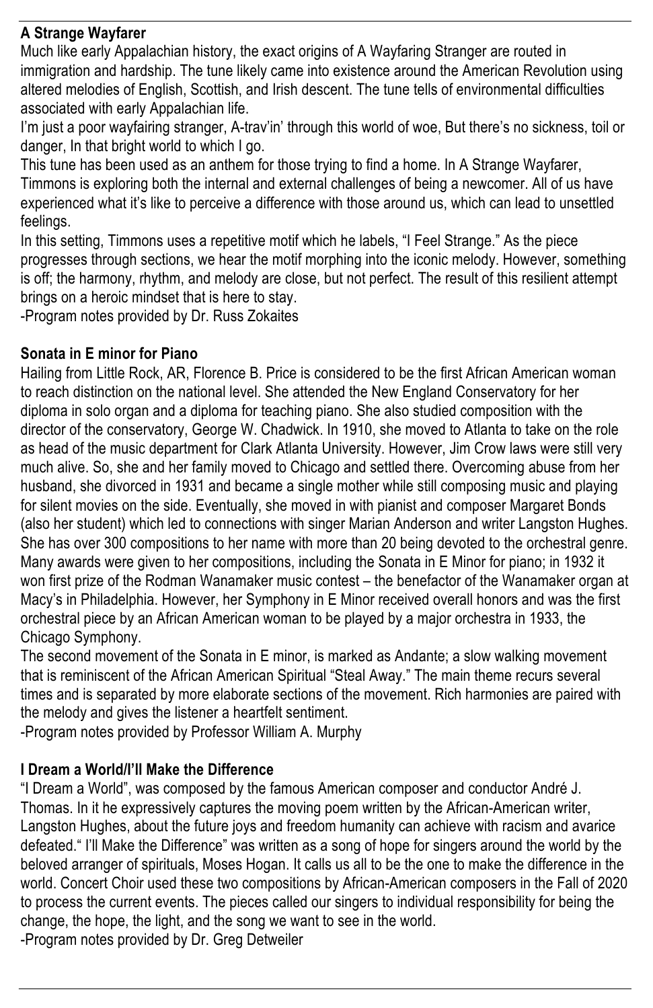# **A Strange Wayfarer**

Much like early Appalachian history, the exact origins of A Wayfaring Stranger are routed in immigration and hardship. The tune likely came into existence around the American Revolution using altered melodies of English, Scottish, and Irish descent. The tune tells of environmental difficulties associated with early Appalachian life.

I'm just a poor wayfairing stranger, A-trav'in' through this world of woe, But there's no sickness, toil or danger, In that bright world to which I go.

This tune has been used as an anthem for those trying to find a home. In A Strange Wayfarer, Timmons is exploring both the internal and external challenges of being a newcomer. All of us have experienced what it's like to perceive a difference with those around us, which can lead to unsettled feelings.

In this setting, Timmons uses a repetitive motif which he labels, "I Feel Strange." As the piece progresses through sections, we hear the motif morphing into the iconic melody. However, something is off; the harmony, rhythm, and melody are close, but not perfect. The result of this resilient attempt brings on a heroic mindset that is here to stay.

-Program notes provided by Dr. Russ Zokaites

### **Sonata in E minor for Piano**

Hailing from Little Rock, AR, Florence B. Price is considered to be the first African American woman to reach distinction on the national level. She attended the New England Conservatory for her diploma in solo organ and a diploma for teaching piano. She also studied composition with the director of the conservatory, George W. Chadwick. In 1910, she moved to Atlanta to take on the role as head of the music department for Clark Atlanta University. However, Jim Crow laws were still very much alive. So, she and her family moved to Chicago and settled there. Overcoming abuse from her husband, she divorced in 1931 and became a single mother while still composing music and playing for silent movies on the side. Eventually, she moved in with pianist and composer Margaret Bonds (also her student) which led to connections with singer Marian Anderson and writer Langston Hughes. She has over 300 compositions to her name with more than 20 being devoted to the orchestral genre. Many awards were given to her compositions, including the Sonata in E Minor for piano; in 1932 it won first prize of the Rodman Wanamaker music contest – the benefactor of the Wanamaker organ at Macy's in Philadelphia. However, her Symphony in E Minor received overall honors and was the first orchestral piece by an African American woman to be played by a major orchestra in 1933, the Chicago Symphony.

The second movement of the Sonata in E minor, is marked as Andante; a slow walking movement that is reminiscent of the African American Spiritual "Steal Away." The main theme recurs several times and is separated by more elaborate sections of the movement. Rich harmonies are paired with the melody and gives the listener a heartfelt sentiment.

-Program notes provided by Professor William A. Murphy

### **I Dream a World/I'll Make the Difference**

"I Dream a World", was composed by the famous American composer and conductor André J. Thomas. In it he expressively captures the moving poem written by the African-American writer, Langston Hughes, about the future joys and freedom humanity can achieve with racism and avarice defeated." I'll Make the Difference" was written as a song of hope for singers around the world by the beloved arranger of spirituals, Moses Hogan. It calls us all to be the one to make the difference in the world. Concert Choir used these two compositions by African-American composers in the Fall of 2020 to process the current events. The pieces called our singers to individual responsibility for being the change, the hope, the light, and the song we want to see in the world. -Program notes provided by Dr. Greg Detweiler